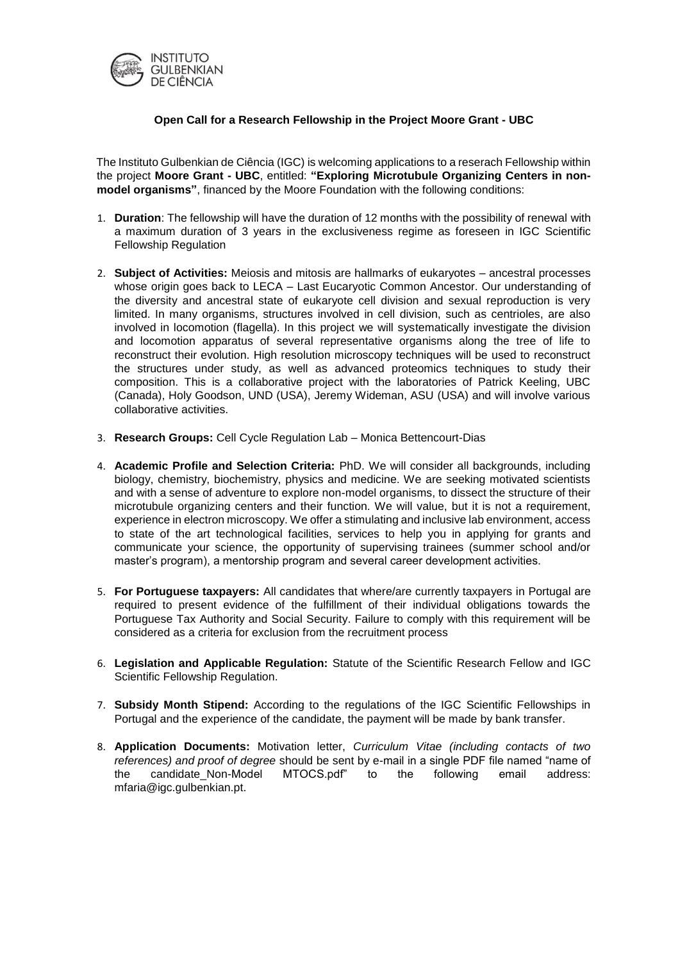

## **Open Call for a Research Fellowship in the Project Moore Grant - UBC**

The Instituto Gulbenkian de Ciência (IGC) is welcoming applications to a reserach Fellowship within the project **Moore Grant - UBC**, entitled: **"Exploring Microtubule Organizing Centers in nonmodel organisms"**, financed by the Moore Foundation with the following conditions:

- 1. **Duration**: The fellowship will have the duration of 12 months with the possibility of renewal with a maximum duration of 3 years in the exclusiveness regime as foreseen in IGC Scientific Fellowship Regulation
- 2. **Subject of Activities:** Meiosis and mitosis are hallmarks of eukaryotes ancestral processes whose origin goes back to LECA – Last Eucaryotic Common Ancestor. Our understanding of the diversity and ancestral state of eukaryote cell division and sexual reproduction is very limited. In many organisms, structures involved in cell division, such as centrioles, are also involved in locomotion (flagella). In this project we will systematically investigate the division and locomotion apparatus of several representative organisms along the tree of life to reconstruct their evolution. High resolution microscopy techniques will be used to reconstruct the structures under study, as well as advanced proteomics techniques to study their composition. This is a collaborative project with the laboratories of Patrick Keeling, UBC (Canada), Holy Goodson, UND (USA), Jeremy Wideman, ASU (USA) and will involve various collaborative activities.
- 3. **Research Groups:** Cell Cycle Regulation Lab Monica Bettencourt-Dias
- 4. **Academic Profile and Selection Criteria:** PhD. We will consider all backgrounds, including biology, chemistry, biochemistry, physics and medicine. We are seeking motivated scientists and with a sense of adventure to explore non-model organisms, to dissect the structure of their microtubule organizing centers and their function. We will value, but it is not a requirement, experience in electron microscopy. We offer a stimulating and inclusive lab environment, access to state of the art technological facilities, services to help you in applying for grants and communicate your science, the opportunity of supervising trainees (summer school and/or master's program), a mentorship program and several career development activities.
- 5. **For Portuguese taxpayers:** All candidates that where/are currently taxpayers in Portugal are required to present evidence of the fulfillment of their individual obligations towards the Portuguese Tax Authority and Social Security. Failure to comply with this requirement will be considered as a criteria for exclusion from the recruitment process
- 6. **Legislation and Applicable Regulation:** Statute of the Scientific Research Fellow and IGC Scientific Fellowship Regulation.
- 7. **Subsidy Month Stipend:** According to the regulations of the IGC Scientific Fellowships in Portugal and the experience of the candidate, the payment will be made by bank transfer.
- 8. **Application Documents:** Motivation letter, *Curriculum Vitae (including contacts of two references) and proof of degree* should be sent by e-mail in a single PDF file named "name of the candidate\_Non-Model MTOCS.pdf" to the following email address: mfaria@igc.gulbenkian.pt.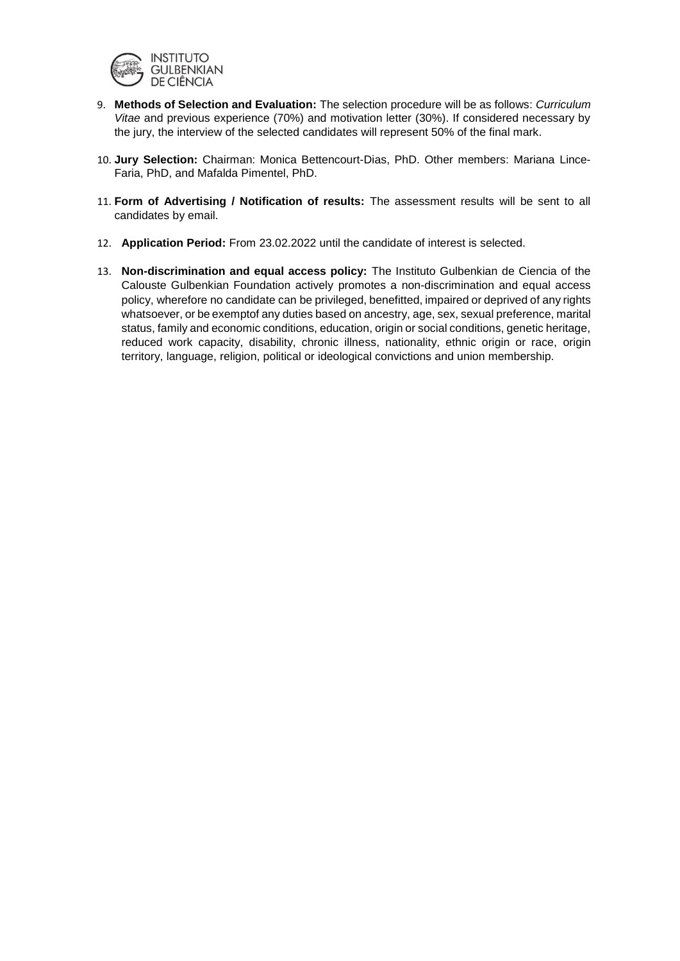

- 9. **Methods of Selection and Evaluation:** The selection procedure will be as follows: *Curriculum Vitae* and previous experience (70%) and motivation letter (30%). If considered necessary by the jury, the interview of the selected candidates will represent 50% of the final mark.
- 10. **Jury Selection:** Chairman: Monica Bettencourt-Dias, PhD. Other members: Mariana Lince-Faria, PhD, and Mafalda Pimentel, PhD.
- 11. **Form of Advertising / Notification of results:** The assessment results will be sent to all candidates by email.
- 12. **Application Period:** From 23.02.2022 until the candidate of interest is selected.
- 13. **Non-discrimination and equal access policy:** The Instituto Gulbenkian de Ciencia of the Calouste Gulbenkian Foundation actively promotes a non-discrimination and equal access policy, wherefore no candidate can be privileged, benefitted, impaired or deprived of any rights whatsoever, or be exemptof any duties based on ancestry, age, sex, sexual preference, marital status, family and economic conditions, education, origin or social conditions, genetic heritage, reduced work capacity, disability, chronic illness, nationality, ethnic origin or race, origin territory, language, religion, political or ideological convictions and union membership.